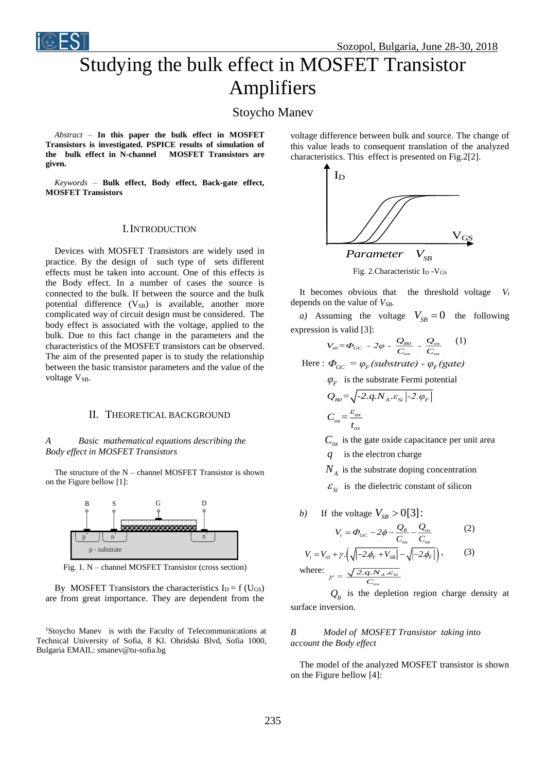

# Studying the bulk effect in MOSFET Transistor Amplifiers

# Stoycho Manev

*Abstract –* **In this paper the bulk effect in MOSFET Transistors is investigated. PSPICE results of simulation of the bulk effect in N-channel MOSFET Transistors are given.** 

*Keywords –* **Bulk effect, Body effect, Back-gate effect, MOSFET Transistors**

#### I.INTRODUCTION

Devices with MOSFET Transistors are widely used in practice. By the design of such type of sets different effects must be taken into account. One of this effects is the Body effect. In a number of cases the source is connected to the bulk. If between the source and the bulk potential difference  $(V_{SB})$  is available, another more complicated way of circuit design must be considered. The body effect is associated with the voltage, applied to the bulk. Due to this fact change in the parameters and the characteristics of the MOSFET transistors can be observed. The aim of the presented paper is to study the relationship between the basic transistor parameters and the value of the voltage V<sub>SB</sub>.

#### II. THEORETICAL BACKGROUND

#### *A Basic mathematical equations describing the Body effect in MOSFET Transistors*

The structure of the N – channel MOSFET Transistor is shown on the Figure bellow [1]:



Fig. 1. N – channel MOSFET Transistor (cross section)

By MOSFET Transistors the characteristics  $I_D = f(U_{GS})$ are from great importance. They are dependent from the

<sup>1</sup>Stoycho Maney is with the Faculty of Telecommunications at Technical University of Sofia, 8 Kl. Ohridski Blvd, Sofia 1000, Bulgaria EMAIL: smanev@tu-sofia.bg

voltage difference between bulk and source. The change of this value leads to consequent translation of the analyzed characteristics. This effect is presented on Fig.2[2].



Fig. 2. Characteristic I<sub>D</sub> - V<sub>GS</sub>

It becomes obvious that the threshold voltage  $V_t$ depends on the value of *VSB*.

*a*) Assuming the voltage  $V_{SB} = 0$  the following expression is valid [3]:

$$
V_{\scriptscriptstyle{t0}} = \Phi_{\scriptscriptstyle{G}C} - 2\varphi - \frac{Q_{\scriptscriptstyle{B}0}}{C_{\scriptscriptstyle{ox}}} - \frac{Q_{\scriptscriptstyle{ox}}}{C_{\scriptscriptstyle{ox}}}
$$
 (1)

 $H = \begin{pmatrix} \n\cdot & \cdot & \cdot & \cdot & \cdot & \cdot & \cdot & \cdot & \cdot & \cdot & \cdots & \cdot & \cdots & \cdots & \cdot & \cdots & \cdot & \cdot & \cdots & \cdot & \cdots & \cdots & \cdot & \cdots & \cdot & \cdots & \cdot & \cdots & \cdot & \cdot & \cdots & \cdot & \cdot & \cdots & \cdot & \cdot & \cdots & \cdot & \cdot & \cdots & \cdot & \cdot & \cdots & \cdot & \cdots & \cdot & \cdots & \cdot & \cdots & \cdot & \cdot & \cdots & \cdot & \cdots & \cdot & \cdots & \cdot & \cdots & \cdot & \cdots & \cdot & \cdots &$ 

 $\varphi_F$  is the substrate Fermi potential

$$
Q_{B0} = \sqrt{-2.q.N_A.\varepsilon_{Si}|-2.\varphi_F|}
$$

$$
C_{ox} = \frac{\varepsilon_{ox}}{t_{ox}}
$$

*Cox* is the gate oxide capacitance per unit area

*q* is the electron charge

*N<sup>A</sup>* is the substrate doping concentration

 $\mathcal{E}_{S_i}$  is the dielectric constant of silicon

b) If the voltage 
$$
V_{SB} > 0[3]
$$
:

$$
V_t = \Phi_{GC} - 2\phi - \frac{Q_B}{C_{ox}} - \frac{Q_{ox}}{C_{ox}}
$$
(2)  

$$
V_t = V_{t0} + \gamma \cdot \left(\sqrt{-2\phi_F + V_{SB}}\right) - \sqrt{-2\phi_F}\right),
$$
(3)

where:  $=\frac{\sqrt{2.q.N_A.E_{Si}}}{C}$ *ox*  $\gamma = \frac{\sqrt{2. q.N_A.E}}{2}$ 

 $Q_B$  is the depletion region charge density at surface inversion.

#### *B Model of MOSFET Transistor taking into account the Body effect*

The model of the analyzed MOSFET transistor is shown on the Figure bellow [4]: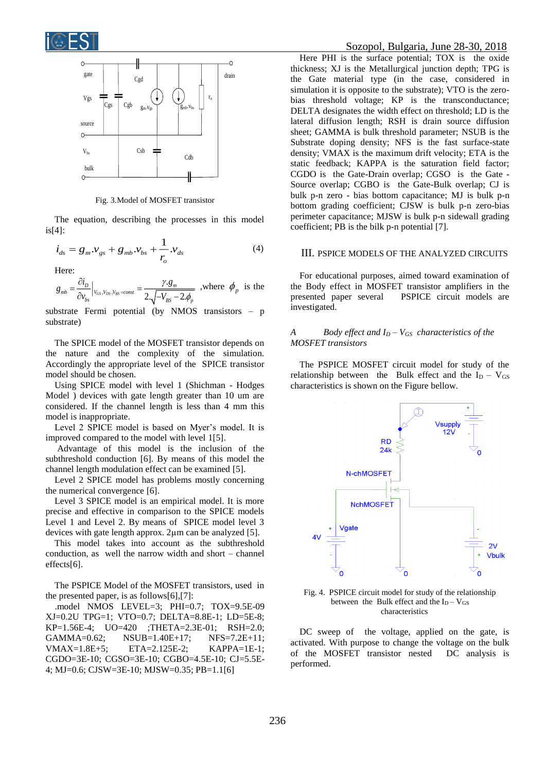



Fig. 3.Model of MOSFET transistor

The equation, describing the processes in this model is[4]:

$$
\dot{i}_{ds} = g_m \cdot v_{gs} + g_{mb} \cdot v_{bs} + \frac{1}{r_o} \cdot v_{ds}
$$
 (4)

Here:

$$
g_{mb} = \frac{\partial i_D}{\partial v_{bs}}\Big|_{V_{GS}, V_{DS}, V_{BS} = const} = \frac{\gamma g_m}{2\sqrt{-V_{BS} - 2\phi_p}} \text{ ,where } \phi_p \text{ is the}
$$

substrate Fermi potential (by NMOS transistors – p substrate)

The SPICE model of the MOSFET transistor depends on the nature and the complexity of the simulation. Accordingly the appropriate level of the SPICE transistor model should be chosen.

Using SPICE model with level 1 (Shichman - Hodges Model ) devices with gate length greater than 10 um are considered. If the channel length is less than 4 mm this model is inappropriate.

Level 2 SPICE model is based on Myer's model. It is improved compared to the model with level 1[5].

Advantage of this model is the inclusion of the subthreshold conduction [6]. By means of this model the channel length modulation effect can be examined [5].

Level 2 SPICE model has problems mostly concerning the numerical convergence [6].

Level 3 SPICE model is an empirical model. It is more precise and effective in comparison to the SPICE models Level 1 and Level 2. By means of SPICE model level 3 devices with gate length approx. 2µm can be analyzed [5].

This model takes into account as the subthreshold conduction, as well the narrow width and short – channel effects[6].

The PSPICE Model of the MOSFET transistors, used in the presented paper, is as follows $[6]$ , $[7]$ :

 .model NMOS LEVEL=3; PHI=0.7; TOX=9.5E-09 XJ=0.2U TPG=1; VTO=0.7; DELTA=8.8E-1; LD=5E-8; KP=1.56E-4; UO=420 ;THETA=2.3E-01; RSH=2.0; GAMMA=0.62; NSUB=1.40E+17; NFS=7.2E+11; VMAX=1.8E+5; ETA=2.125E-2; KAPPA=1E-1; CGDO=3E-10; CGSO=3E-10; CGBO=4.5E-10; CJ=5.5E-4; MJ=0.6; CJSW=3E-10; MJSW=0.35; PB=1.1[6]

Here PHI is the surface potential; TOX is the oxide thickness; XJ is the Metallurgical junction depth; TPG is the Gate material type (in the case, considered in simulation it is opposite to the substrate); VTO is the zerobias threshold voltage; KP is the transconductance; DELTA designates the width effect on threshold; LD is the lateral diffusion length; RSH is drain source diffusion sheet; GAMMA is bulk threshold parameter; NSUB is the Substrate doping density; NFS is the fast surface-state density; VMAX is the maximum drift velocity; ETA is the static feedback; KAPPA is the saturation field factor; CGDO is the Gate-Drain overlap; CGSO is the Gate - Source overlap; CGBO is the Gate-Bulk overlap; CJ is bulk p-n zero - bias bottom capacitance; MJ is bulk p-n bottom grading coefficient; CJSW is bulk p-n zero-bias perimeter capacitance; MJSW is bulk p-n sidewall grading coefficient; PB is the bilk p-n potential [7].

#### III. PSPICE MODELS OF THE ANALYZED CIRCUITS

For educational purposes, aimed toward examination of the Body effect in MOSFET transistor amplifiers in the presented paper several PSPICE circuit models are investigated.

#### *A Body effect and I<sup>D</sup> – VGS characteristics of the MOSFET transistors*

The PSPICE MOSFET circuit model for study of the relationship between the Bulk effect and the  $I_D - V_{GS}$ characteristics is shown on the Figure bellow.



Fig. 4. PSPICE circuit model for study of the relationship between the Bulk effect and the  $I_D - V_{GS}$ characteristics

DC sweep of the voltage, applied on the gate, is activated. With purpose to change the voltage on the bulk of the MOSFET transistor nested DC analysis is performed.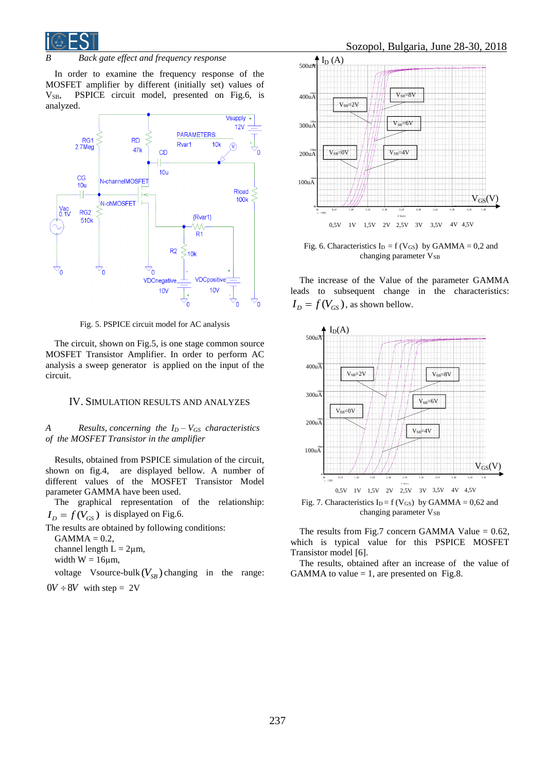

## *B Back gate effect and frequency response*

In order to examine the frequency response of the MOSFET amplifier by different (initially set) values of V<sub>SB</sub>, PSPICE circuit model, presented on Fig.6, is analyzed.



Fig. 5. PSPICE circuit model for AC analysis

The circuit, shown on Fig.5, is one stage common source MOSFET Transistor Amplifier. In order to perform AC analysis a sweep generator is applied on the input of the circuit.

#### IV. SIMULATION RESULTS AND ANALYZES

#### *A Results, concerning the I<sup>D</sup> – VGS characteristics of the MOSFET Transistor in the amplifier*

Results, obtained from PSPICE simulation of the circuit, shown on fig.4, are displayed bellow. A number of different values of the MOSFET Transistor Model parameter GAMMA have been used.

The graphical representation of the relationship:  $I_D = f(V_{GS})$  is displayed on Fig.6.

The results are obtained by following conditions:

 $GAMMA = 0.2$ 

channel length  $L = 2\mu m$ ,

width  $W = 16 \mu m$ ,

voltage Vsource-bulk  $(V_{SB})$  changing in the range:  $0V \div 8V$  with step = 2V



Fig. 6. Characteristics  $I_D = f (V_{GS})$  by GAMMA = 0,2 and changing parameter V<sub>SB</sub>

The increase of the Value of the parameter GAMMA leads to subsequent change in the characteristics:  $I_D = f(V_{GS})$ , as shown bellow.



Fig. 7. Characteristics  $I_D = f (V_{GS})$  by GAMMA = 0,62 and changing parameter V<sub>SB</sub>

The results from Fig.7 concern GAMMA Value  $= 0.62$ , which is typical value for this PSPICE MOSFET Transistor model [6].

The results, obtained after an increase of the value of GAMMA to value  $= 1$ , are presented on Fig.8.